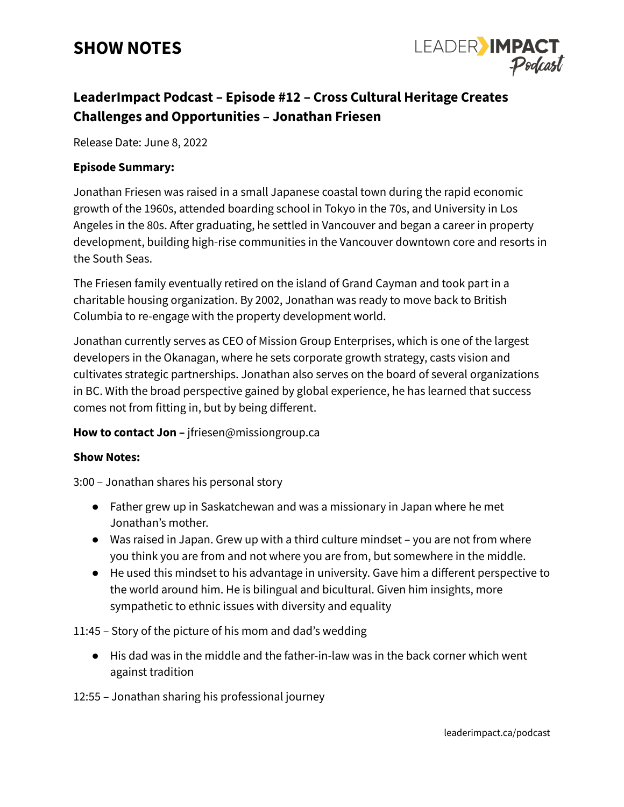## **SHOW NOTES**



### **LeaderImpact Podcast – Episode #12 – Cross Cultural Heritage Creates Challenges and Opportunities – Jonathan Friesen**

Release Date: June 8, 2022

#### **Episode Summary:**

Jonathan Friesen was raised in a small Japanese coastal town during the rapid economic growth of the 1960s, attended boarding school in Tokyo in the 70s, and University in Los Angeles in the 80s. After graduating, he settled in Vancouver and began a career in property development, building high-rise communities in the Vancouver downtown core and resorts in the South Seas.

The Friesen family eventually retired on the island of Grand Cayman and took part in a charitable housing organization. By 2002, Jonathan was ready to move back to British Columbia to re-engage with the property development world.

Jonathan currently serves as CEO of Mission Group Enterprises, which is one of the largest developers in the Okanagan, where he sets corporate growth strategy, casts vision and cultivates strategic partnerships. Jonathan also serves on the board of several organizations in BC. With the broad perspective gained by global experience, he has learned that success comes not from fitting in, but by being different.

#### **How to contact Jon –** jfriesen@missiongroup.ca

#### **Show Notes:**

3:00 – Jonathan shares his personal story

- Father grew up in Saskatchewan and was a missionary in Japan where he met Jonathan's mother.
- Was raised in Japan. Grew up with a third culture mindset you are not from where you think you are from and not where you are from, but somewhere in the middle.
- He used this mindset to his advantage in university. Gave him a different perspective to the world around him. He is bilingual and bicultural. Given him insights, more sympathetic to ethnic issues with diversity and equality

11:45 – Story of the picture of his mom and dad's wedding

● His dad was in the middle and the father-in-law was in the back corner which went against tradition

12:55 – Jonathan sharing his professional journey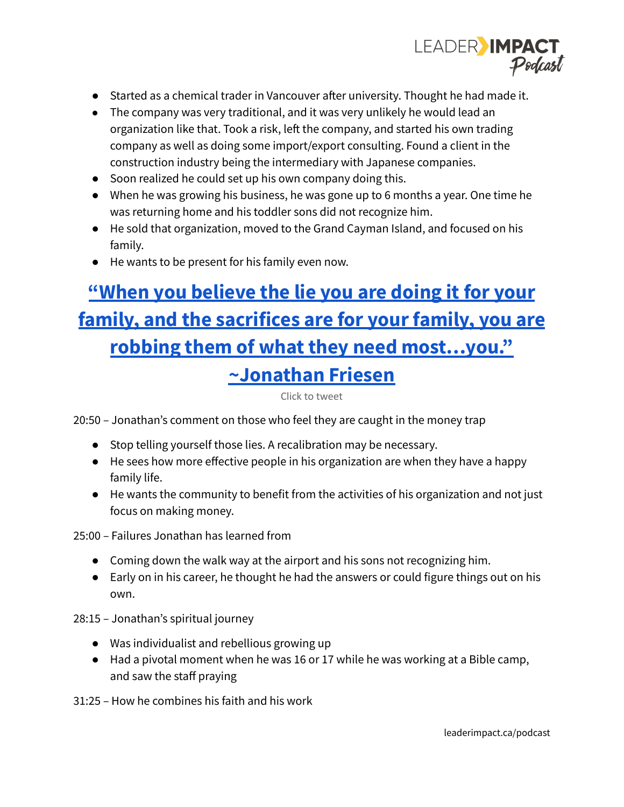

- Started as a chemical trader in Vancouver after university. Thought he had made it.
- The company was very traditional, and it was very unlikely he would lead an organization like that. Took a risk, left the company, and started his own trading company as well as doing some import/export consulting. Found a client in the construction industry being the intermediary with Japanese companies.
- Soon realized he could set up his own company doing this.
- When he was growing his business, he was gone up to 6 months a year. One time he was returning home and his toddler sons did not recognize him.
- He sold that organization, moved to the Grand Cayman Island, and focused on his family.
- He wants to be present for his family even now.

# **"When you [believe](https://ctt.ac/3642s) the lie you are doing it for your family, and the [sacrifices](https://ctt.ac/3642s) are for your family, you are robbing them of what they need [most…you."](https://ctt.ac/3642s) [~Jonathan](https://ctt.ac/3642s) Friesen**

Click to tweet

20:50 – Jonathan's comment on those who feel they are caught in the money trap

- Stop telling yourself those lies. A recalibration may be necessary.
- He sees how more effective people in his organization are when they have a happy family life.
- He wants the community to benefit from the activities of his organization and not just focus on making money.

25:00 – Failures Jonathan has learned from

- Coming down the walk way at the airport and his sons not recognizing him.
- Early on in his career, he thought he had the answers or could figure things out on his own.
- 28:15 Jonathan's spiritual journey
	- Was individualist and rebellious growing up
	- Had a pivotal moment when he was 16 or 17 while he was working at a Bible camp, and saw the staff praying

31:25 – How he combines his faith and his work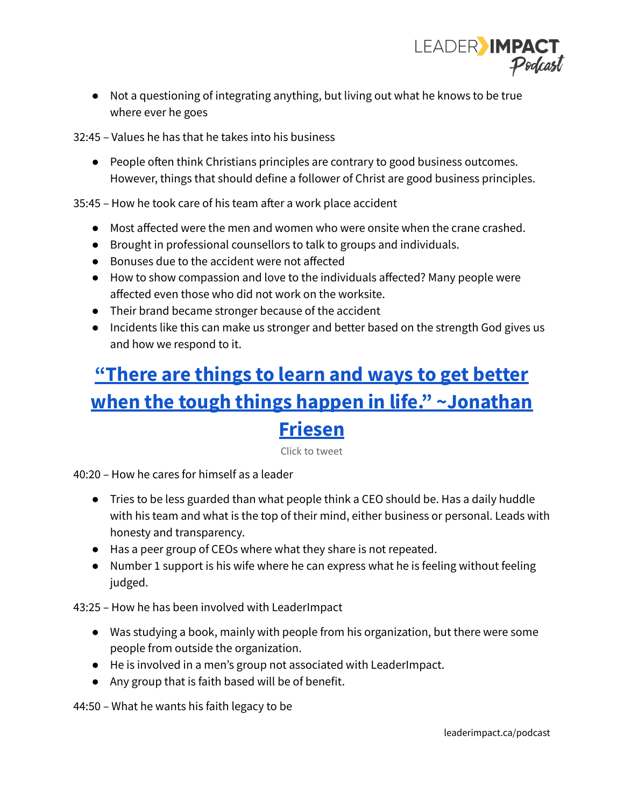

● Not a questioning of integrating anything, but living out what he knows to be true where ever he goes

32:45 – Values he has that he takes into his business

● People often think Christians principles are contrary to good business outcomes. However, things that should define a follower of Christ are good business principles.

35:45 – How he took care of his team after a work place accident

- Most affected were the men and women who were onsite when the crane crashed.
- Brought in professional counsellors to talk to groups and individuals.
- Bonuses due to the accident were not affected
- How to show compassion and love to the individuals affected? Many people were affected even those who did not work on the worksite.
- Their brand became stronger because of the accident
- **●** Incidents like this can make us stronger and better based on the strength God gives us and how we respond to it.

## **["There](https://ctt.ac/c7d68) are things to learn and ways to get better when the tough things happen in life." [~Jonathan](https://ctt.ac/c7d68) [Friesen](https://ctt.ac/c7d68)**

Click to tweet

40:20 – How he cares for himself as a leader

- Tries to be less guarded than what people think a CEO should be. Has a daily huddle with his team and what is the top of their mind, either business or personal. Leads with honesty and transparency.
- Has a peer group of CEOs where what they share is not repeated.
- Number 1 support is his wife where he can express what he is feeling without feeling judged.

43:25 – How he has been involved with LeaderImpact

- Was studying a book, mainly with people from his organization, but there were some people from outside the organization.
- He is involved in a men's group not associated with LeaderImpact.
- Any group that is faith based will be of benefit.

44:50 – What he wants his faith legacy to be